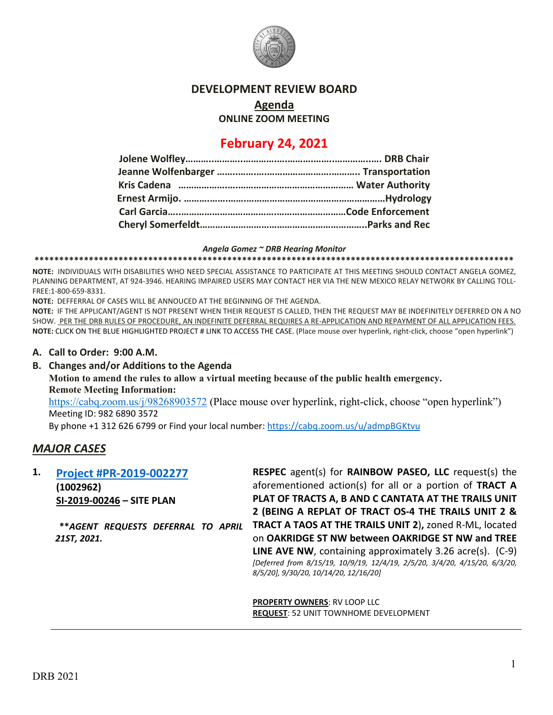

#### **DEVELOPMENT REVIEW BOARD**

**Agenda**

**ONLINE ZOOM MEETING**

# **February 24, 2021**

#### *Angela Gomez ~ DRB Hearing Monitor*

**\*\*\*\*\*\*\*\*\*\*\*\*\*\*\*\*\*\*\*\*\*\*\*\*\*\*\*\*\*\*\*\*\*\*\*\*\*\*\*\*\*\*\*\*\*\*\*\*\*\*\*\*\*\*\*\*\*\*\*\*\*\*\*\*\*\*\*\*\*\*\*\*\*\*\*\*\*\*\*\*\*\*\*\*\*\*\*\*\*\*\*\*\*\*\*\*\***

**NOTE:** INDIVIDUALS WITH DISABILITIES WHO NEED SPECIAL ASSISTANCE TO PARTICIPATE AT THIS MEETING SHOULD CONTACT ANGELA GOMEZ, PLANNING DEPARTMENT, AT 924-3946. HEARING IMPAIRED USERS MAY CONTACT HER VIA THE NEW MEXICO RELAY NETWORK BY CALLING TOLL-FREE:1-800-659-8331.

**NOTE:** DEFFERRAL OF CASES WILL BE ANNOUCED AT THE BEGINNING OF THE AGENDA.

**NOTE:** IF THE APPLICANT/AGENT IS NOT PRESENT WHEN THEIR REQUEST IS CALLED, THEN THE REQUEST MAY BE INDEFINITELY DEFERRED ON A NO SHOW. PER THE DRB RULES OF PROCEDURE, AN INDEFINITE DEFERRAL REQUIRES A RE-APPLICATION AND REPAYMENT OF ALL APPLICATION FEES. **NOTE:** CLICK ON THE BLUE HIGHLIGHTED PROJECT # LINK TO ACCESS THE CASE. (Place mouse over hyperlink, right-click, choose "open hyperlink")

#### **A. Call to Order: 9:00 A.M.**

**B. Changes and/or Additions to the Agenda Motion to amend the rules to allow a virtual meeting because of the public health emergency. Remote Meeting Information:**

<https://cabq.zoom.us/j/98268903572> (Place mouse over hyperlink, right-click, choose "open hyperlink") Meeting ID: 982 6890 3572

By phone +1 312 626 6799 or Find your local number:<https://cabq.zoom.us/u/admpBGKtvu>

### *MAJOR CASES*

**1. [Project #PR-2019-002277](http://data.cabq.gov/government/planning/DRB/PR-2019-002277/DRB%20Submittals/) (1002962) SI-2019-00246 – SITE PLAN**

> **\*\****AGENT REQUESTS DEFERRAL TO APRIL 21ST, 2021.*

**RESPEC** agent(s) for **RAINBOW PASEO, LLC** request(s) the aforementioned action(s) for all or a portion of **TRACT A PLAT OF TRACTS A, B AND C CANTATA AT THE TRAILS UNIT 2 (BEING A REPLAT OF TRACT OS-4 THE TRAILS UNIT 2 & TRACT A TAOS AT THE TRAILS UNIT 2**)**,** zoned R-ML, located on **OAKRIDGE ST NW between OAKRIDGE ST NW and TREE LINE AVE NW**, containing approximately 3.26 acre(s). (C-9) *[Deferred from 8/15/19, 10/9/19, 12/4/19, 2/5/20, 3/4/20, 4/15/20, 6/3/20, 8/5/20], 9/30/20, 10/14/20, 12/16/20]*

**PROPERTY OWNERS**: RV LOOP LLC **REQUEST**: 52 UNIT TOWNHOME DEVELOPMENT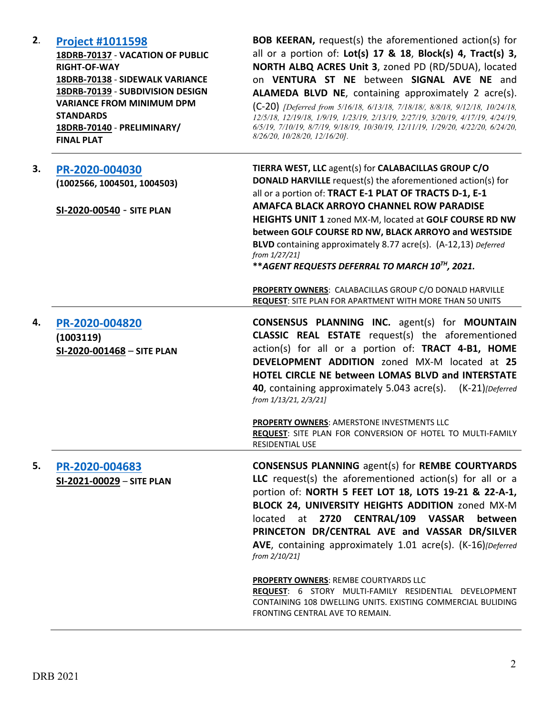| 2. | <b>Project #1011598</b><br>18DRB-70137 - VACATION OF PUBLIC<br><b>RIGHT-OF-WAY</b><br>18DRB-70138 - SIDEWALK VARIANCE<br>18DRB-70139 - SUBDIVISION DESIGN<br><b>VARIANCE FROM MINIMUM DPM</b><br><b>STANDARDS</b><br>18DRB-70140 - PRELIMINARY/<br><b>FINAL PLAT</b> | <b>BOB KEERAN, request(s) the aforementioned action(s) for</b><br>all or a portion of: $Lot(s)$ 17 & 18, $Block(s)$ 4, $Tract(s)$ 3,<br>NORTH ALBQ ACRES Unit 3, zoned PD (RD/5DUA), located<br>on VENTURA ST NE between SIGNAL AVE NE and<br><b>ALAMEDA BLVD NE, containing approximately 2 acre(s).</b><br>$(C-20)$ [Deferred from 5/16/18, 6/13/18, 7/18/18/, 8/8/18, 9/12/18, 10/24/18,<br>12/5/18, 12/19/18, 1/9/19, 1/23/19, 2/13/19, 2/27/19, 3/20/19, 4/17/19, 4/24/19,<br>6/5/19, 7/10/19, 8/7/19, 9/18/19, 10/30/19, 12/11/19, 1/29/20, 4/22/20, 6/24/20,<br>8/26/20, 10/28/20, 12/16/20]. |
|----|----------------------------------------------------------------------------------------------------------------------------------------------------------------------------------------------------------------------------------------------------------------------|------------------------------------------------------------------------------------------------------------------------------------------------------------------------------------------------------------------------------------------------------------------------------------------------------------------------------------------------------------------------------------------------------------------------------------------------------------------------------------------------------------------------------------------------------------------------------------------------------|
| 3. | PR-2020-004030<br>(1002566, 1004501, 1004503)<br>SI-2020-00540 - SITE PLAN                                                                                                                                                                                           | TIERRA WEST, LLC agent(s) for CALABACILLAS GROUP C/O<br><b>DONALD HARVILLE</b> request(s) the aforementioned action(s) for<br>all or a portion of: TRACT E-1 PLAT OF TRACTS D-1, E-1<br><b>AMAFCA BLACK ARROYO CHANNEL ROW PARADISE</b><br>HEIGHTS UNIT 1 zoned MX-M, located at GOLF COURSE RD NW<br>between GOLF COURSE RD NW, BLACK ARROYO and WESTSIDE<br>BLVD containing approximately 8.77 acre(s). (A-12,13) Deferred<br>from 1/27/21]<br>**AGENT REQUESTS DEFERRAL TO MARCH 10TH, 2021.                                                                                                      |
|    |                                                                                                                                                                                                                                                                      | PROPERTY OWNERS: CALABACILLAS GROUP C/O DONALD HARVILLE<br>REQUEST: SITE PLAN FOR APARTMENT WITH MORE THAN 50 UNITS                                                                                                                                                                                                                                                                                                                                                                                                                                                                                  |
| 4. | PR-2020-004820<br>(1003119)<br>SI-2020-001468 - SITE PLAN                                                                                                                                                                                                            | <b>CONSENSUS PLANNING INC.</b> agent(s) for <b>MOUNTAIN</b><br><b>CLASSIC REAL ESTATE</b> request(s) the aforementioned<br>action(s) for all or a portion of: TRACT 4-B1, HOME<br><b>DEVELOPMENT ADDITION</b> zoned MX-M located at 25<br>HOTEL CIRCLE NE between LOMAS BLVD and INTERSTATE<br>40, containing approximately 5.043 acre(s). (K-21)[Deferred]<br>from 1/13/21, 2/3/21]                                                                                                                                                                                                                 |
|    |                                                                                                                                                                                                                                                                      | <b>PROPERTY OWNERS: AMERSTONE INVESTMENTS LLC</b><br>REQUEST: SITE PLAN FOR CONVERSION OF HOTEL TO MULTI-FAMILY<br>RESIDENTIAL USE                                                                                                                                                                                                                                                                                                                                                                                                                                                                   |
| 5. | PR-2020-004683<br>SI-2021-00029 - SITE PLAN                                                                                                                                                                                                                          | <b>CONSENSUS PLANNING agent(s) for REMBE COURTYARDS</b><br>LLC request(s) the aforementioned action(s) for all or a<br>portion of: NORTH 5 FEET LOT 18, LOTS 19-21 & 22-A-1,<br>BLOCK 24, UNIVERSITY HEIGHTS ADDITION zoned MX-M<br>at 2720 CENTRAL/109 VASSAR between<br>located<br>PRINCETON DR/CENTRAL AVE and VASSAR DR/SILVER<br>AVE, containing approximately 1.01 acre(s). (K-16)[Deferred]<br>from 2/10/21]<br><b>PROPERTY OWNERS: REMBE COURTYARDS LLC</b>                                                                                                                                  |
|    |                                                                                                                                                                                                                                                                      | REQUEST: 6 STORY MULTI-FAMILY RESIDENTIAL DEVELOPMENT<br>CONTAINING 108 DWELLING UNITS. EXISTING COMMERCIAL BULIDING<br>FRONTING CENTRAL AVE TO REMAIN.                                                                                                                                                                                                                                                                                                                                                                                                                                              |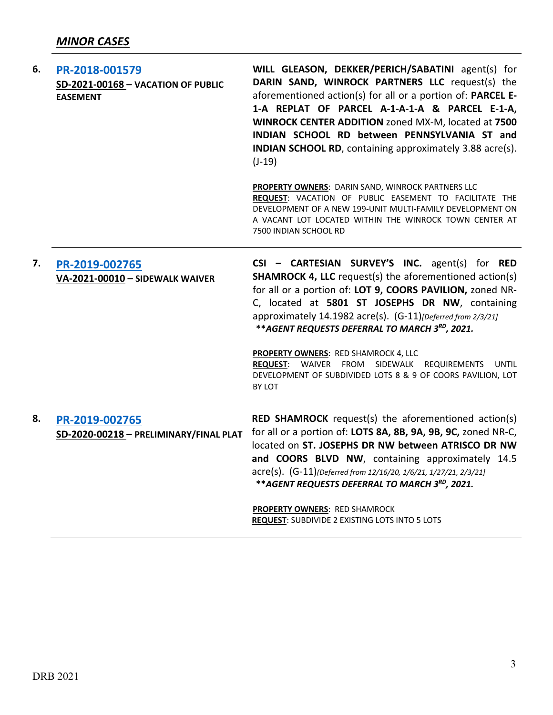| 6. | PR-2018-001579<br>SD-2021-00168 - VACATION OF PUBLIC<br><b>EASEMENT</b> | WILL GLEASON, DEKKER/PERICH/SABATINI agent(s) for<br>DARIN SAND, WINROCK PARTNERS LLC request(s) the<br>aforementioned action(s) for all or a portion of: PARCEL E-<br>1-A REPLAT OF PARCEL A-1-A-1-A & PARCEL E-1-A,<br>WINROCK CENTER ADDITION zoned MX-M, located at 7500<br>INDIAN SCHOOL RD between PENNSYLVANIA ST and<br><b>INDIAN SCHOOL RD</b> , containing approximately 3.88 acre(s).<br>$(J-19)$ |
|----|-------------------------------------------------------------------------|--------------------------------------------------------------------------------------------------------------------------------------------------------------------------------------------------------------------------------------------------------------------------------------------------------------------------------------------------------------------------------------------------------------|
|    |                                                                         | PROPERTY OWNERS: DARIN SAND, WINROCK PARTNERS LLC<br>REQUEST: VACATION OF PUBLIC EASEMENT TO FACILITATE THE<br>DEVELOPMENT OF A NEW 199-UNIT MULTI-FAMILY DEVELOPMENT ON<br>A VACANT LOT LOCATED WITHIN THE WINROCK TOWN CENTER AT<br>7500 INDIAN SCHOOL RD                                                                                                                                                  |
| 7. | PR-2019-002765<br>VA-2021-00010 - SIDEWALK WAIVER                       | CSI - CARTESIAN SURVEY'S INC. agent(s) for RED<br><b>SHAMROCK 4, LLC</b> request(s) the aforementioned action(s)<br>for all or a portion of: LOT 9, COORS PAVILION, zoned NR-<br>C, located at 5801 ST JOSEPHS DR NW, containing<br>approximately 14.1982 acre(s). (G-11) [Deferred from 2/3/21]<br>** AGENT REQUESTS DEFERRAL TO MARCH 3RD, 2021.                                                           |
|    |                                                                         | <b>PROPERTY OWNERS: RED SHAMROCK 4, LLC</b><br>REQUEST: WAIVER FROM SIDEWALK REQUIREMENTS<br>UNTIL<br>DEVELOPMENT OF SUBDIVIDED LOTS 8 & 9 OF COORS PAVILION, LOT<br>BY LOT                                                                                                                                                                                                                                  |
| 8. | PR-2019-002765<br>SD-2020-00218 - PRELIMINARY/FINAL PLAT                | <b>RED SHAMROCK</b> request(s) the aforementioned action(s)<br>for all or a portion of: LOTS 8A, 8B, 9A, 9B, 9C, zoned NR-C,<br>located on ST. JOSEPHS DR NW between ATRISCO DR NW<br>and COORS BLVD NW, containing approximately 14.5<br>acre(s). (G-11)(Deferred from 12/16/20, 1/6/21, 1/27/21, 2/3/21]<br>** AGENT REQUESTS DEFERRAL TO MARCH 3RD, 2021.                                                 |
|    |                                                                         | PROPERTY OWNERS: RED SHAMROCK<br>REQUEST: SUBDIVIDE 2 EXISTING LOTS INTO 5 LOTS                                                                                                                                                                                                                                                                                                                              |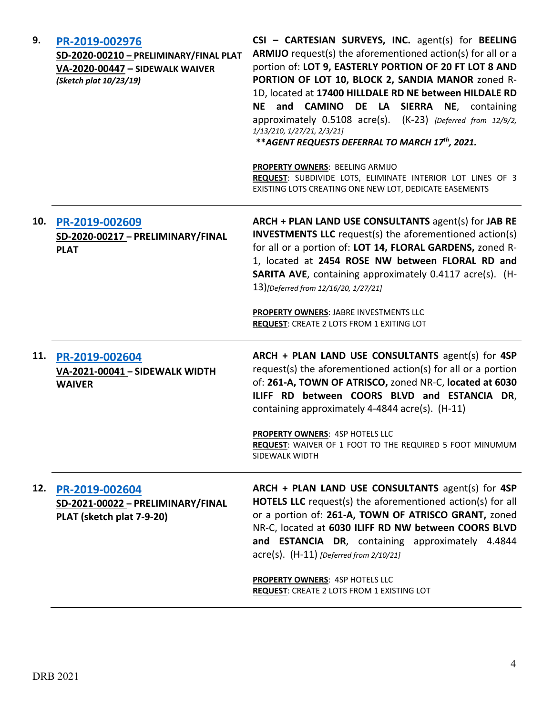| 9.  | PR-2019-002976<br>SD-2020-00210 - PRELIMINARY/FINAL PLAT<br>VA-2020-00447 - SIDEWALK WAIVER<br>(Sketch plat 10/23/19) | CSI - CARTESIAN SURVEYS, INC. agent(s) for BEELING<br>ARMIJO request(s) the aforementioned action(s) for all or a<br>portion of: LOT 9, EASTERLY PORTION OF 20 FT LOT 8 AND<br>PORTION OF LOT 10, BLOCK 2, SANDIA MANOR zoned R-<br>1D, located at 17400 HILLDALE RD NE between HILDALE RD<br><b>NE</b><br>and CAMINO DE LA SIERRA NE, containing<br>approximately 0.5108 acre(s). (K-23) {Deferred from 12/9/2,<br>1/13/210, 1/27/21, 2/3/21]<br>** AGENT REQUESTS DEFERRAL TO MARCH 17th, 2021.<br>PROPERTY OWNERS: BEELING ARMIJO<br>REQUEST: SUBDIVIDE LOTS, ELIMINATE INTERIOR LOT LINES OF 3 |
|-----|-----------------------------------------------------------------------------------------------------------------------|----------------------------------------------------------------------------------------------------------------------------------------------------------------------------------------------------------------------------------------------------------------------------------------------------------------------------------------------------------------------------------------------------------------------------------------------------------------------------------------------------------------------------------------------------------------------------------------------------|
|     |                                                                                                                       | EXISTING LOTS CREATING ONE NEW LOT, DEDICATE EASEMENTS                                                                                                                                                                                                                                                                                                                                                                                                                                                                                                                                             |
| 10. | PR-2019-002609<br>SD-2020-00217 - PRELIMINARY/FINAL<br><b>PLAT</b>                                                    | ARCH + PLAN LAND USE CONSULTANTS agent(s) for JAB RE<br><b>INVESTMENTS LLC</b> request(s) the aforementioned action(s)<br>for all or a portion of: LOT 14, FLORAL GARDENS, zoned R-<br>1, located at 2454 ROSE NW between FLORAL RD and<br><b>SARITA AVE, containing approximately 0.4117 acre(s). (H-</b><br>13)[Deferred from 12/16/20, 1/27/21]                                                                                                                                                                                                                                                 |
|     |                                                                                                                       | PROPERTY OWNERS: JABRE INVESTMENTS LLC<br><b>REQUEST: CREATE 2 LOTS FROM 1 EXITING LOT</b>                                                                                                                                                                                                                                                                                                                                                                                                                                                                                                         |
| 11. | PR-2019-002604<br>VA-2021-00041 - SIDEWALK WIDTH<br><b>WAIVER</b>                                                     | ARCH + PLAN LAND USE CONSULTANTS agent(s) for 4SP<br>request(s) the aforementioned action(s) for all or a portion<br>of: 261-A, TOWN OF ATRISCO, zoned NR-C, located at 6030<br>ILIFF RD between COORS BLVD and ESTANCIA DR,<br>containing approximately 4-4844 acre(s). (H-11)                                                                                                                                                                                                                                                                                                                    |
|     |                                                                                                                       | <b>PROPERTY OWNERS: 4SP HOTELS LLC</b><br>REQUEST: WAIVER OF 1 FOOT TO THE REQUIRED 5 FOOT MINUMUM<br>SIDEWALK WIDTH                                                                                                                                                                                                                                                                                                                                                                                                                                                                               |
| 12. | PR-2019-002604<br>SD-2021-00022 - PRELIMINARY/FINAL<br>PLAT (sketch plat 7-9-20)                                      | ARCH + PLAN LAND USE CONSULTANTS agent(s) for 4SP<br>HOTELS LLC request(s) the aforementioned action(s) for all<br>or a portion of: 261-A, TOWN OF ATRISCO GRANT, zoned<br>NR-C, located at 6030 ILIFF RD NW between COORS BLVD<br>and ESTANCIA DR, containing approximately 4.4844<br>acre(s). (H-11) [Deferred from 2/10/21]                                                                                                                                                                                                                                                                     |
|     |                                                                                                                       | <b>PROPERTY OWNERS: 4SP HOTELS LLC</b><br><b>REQUEST: CREATE 2 LOTS FROM 1 EXISTING LOT</b>                                                                                                                                                                                                                                                                                                                                                                                                                                                                                                        |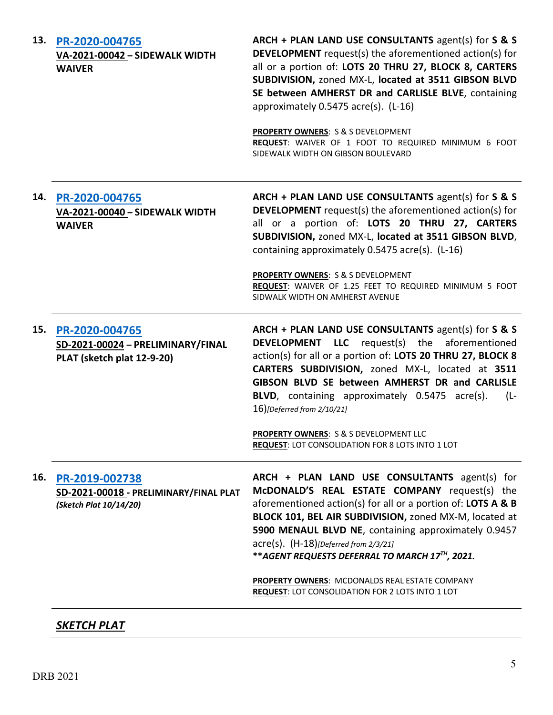| 13. | PR-2020-004765<br>VA-2021-00042 - SIDEWALK WIDTH<br><b>WAIVER</b>                  | ARCH + PLAN LAND USE CONSULTANTS agent(s) for S & S<br><b>DEVELOPMENT</b> request(s) the aforementioned action(s) for<br>all or a portion of: LOTS 20 THRU 27, BLOCK 8, CARTERS<br>SUBDIVISION, zoned MX-L, located at 3511 GIBSON BLVD<br>SE between AMHERST DR and CARLISLE BLVE, containing<br>approximately 0.5475 acre(s). (L-16)<br><b>PROPERTY OWNERS: S &amp; S DEVELOPMENT</b><br>REQUEST: WAIVER OF 1 FOOT TO REQUIRED MINIMUM 6 FOOT<br>SIDEWALK WIDTH ON GIBSON BOULEVARD |
|-----|------------------------------------------------------------------------------------|---------------------------------------------------------------------------------------------------------------------------------------------------------------------------------------------------------------------------------------------------------------------------------------------------------------------------------------------------------------------------------------------------------------------------------------------------------------------------------------|
| 14. | PR-2020-004765<br>VA-2021-00040 - SIDEWALK WIDTH<br><b>WAIVER</b>                  | ARCH + PLAN LAND USE CONSULTANTS agent(s) for S & S<br><b>DEVELOPMENT</b> request(s) the aforementioned action(s) for<br>all or a portion of: LOTS 20 THRU 27, CARTERS<br>SUBDIVISION, zoned MX-L, located at 3511 GIBSON BLVD,<br>containing approximately 0.5475 acre(s). (L-16)                                                                                                                                                                                                    |
|     |                                                                                    | <b>PROPERTY OWNERS: S &amp; S DEVELOPMENT</b><br>REQUEST: WAIVER OF 1.25 FEET TO REQUIRED MINIMUM 5 FOOT<br>SIDWALK WIDTH ON AMHERST AVENUE                                                                                                                                                                                                                                                                                                                                           |
| 15. | PR-2020-004765<br>SD-2021-00024 - PRELIMINARY/FINAL<br>PLAT (sketch plat 12-9-20)  | ARCH + PLAN LAND USE CONSULTANTS agent(s) for S & S<br><b>DEVELOPMENT LLC</b> request(s) the aforementioned<br>action(s) for all or a portion of: LOTS 20 THRU 27, BLOCK 8<br>CARTERS SUBDIVISION, zoned MX-L, located at 3511<br>GIBSON BLVD SE between AMHERST DR and CARLISLE<br>BLVD, containing approximately 0.5475 acre(s).<br>$(L -$<br>16)[Deferred from 2/10/21]                                                                                                            |
|     |                                                                                    | <b>PROPERTY OWNERS: S &amp; S DEVELOPMENT LLC</b><br><b>REQUEST: LOT CONSOLIDATION FOR 8 LOTS INTO 1 LOT</b>                                                                                                                                                                                                                                                                                                                                                                          |
| 16. | PR-2019-002738<br>SD-2021-00018 - PRELIMINARY/FINAL PLAT<br>(Sketch Plat 10/14/20) | ARCH + PLAN LAND USE CONSULTANTS agent(s) for<br>McDONALD'S REAL ESTATE COMPANY request(s) the<br>aforementioned action(s) for all or a portion of: LOTS A & B<br>BLOCK 101, BEL AIR SUBDIVISION, zoned MX-M, located at<br>5900 MENAUL BLVD NE, containing approximately 0.9457<br>$\text{acre}(s)$ . $(H-18)$ [Deferred from 2/3/21]<br>** AGENT REQUESTS DEFERRAL TO MARCH 17TH, 2021.                                                                                             |
|     |                                                                                    | PROPERTY OWNERS: MCDONALDS REAL ESTATE COMPANY<br><b>REQUEST: LOT CONSOLIDATION FOR 2 LOTS INTO 1 LOT</b>                                                                                                                                                                                                                                                                                                                                                                             |
|     | SKETCH PLAT                                                                        |                                                                                                                                                                                                                                                                                                                                                                                                                                                                                       |

#### DRB 2021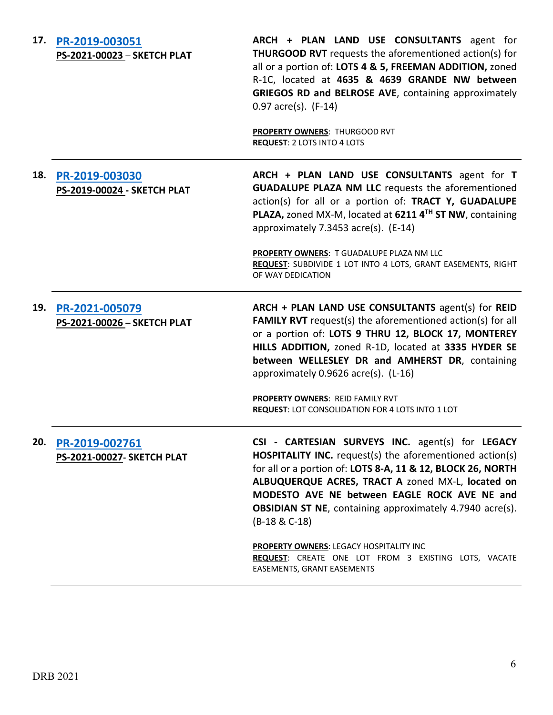| 17. | PR-2019-003051<br>PS-2021-00023 - SKETCH PLAT | ARCH + PLAN LAND USE CONSULTANTS agent for<br><b>THURGOOD RVT</b> requests the aforementioned action(s) for<br>all or a portion of: LOTS 4 & 5, FREEMAN ADDITION, zoned<br>R-1C, located at 4635 & 4639 GRANDE NW between<br>GRIEGOS RD and BELROSE AVE, containing approximately<br>$0.97$ acre(s). (F-14)                                                                    |
|-----|-----------------------------------------------|--------------------------------------------------------------------------------------------------------------------------------------------------------------------------------------------------------------------------------------------------------------------------------------------------------------------------------------------------------------------------------|
|     |                                               | <b>PROPERTY OWNERS: THURGOOD RVT</b><br><b>REQUEST: 2 LOTS INTO 4 LOTS</b>                                                                                                                                                                                                                                                                                                     |
| 18. | PR-2019-003030<br>PS-2019-00024 - SKETCH PLAT | ARCH + PLAN LAND USE CONSULTANTS agent for T<br><b>GUADALUPE PLAZA NM LLC</b> requests the aforementioned<br>action(s) for all or a portion of: TRACT Y, GUADALUPE<br>PLAZA, zoned MX-M, located at 6211 4TH ST NW, containing<br>approximately 7.3453 acre(s). (E-14)                                                                                                         |
|     |                                               | PROPERTY OWNERS: T GUADALUPE PLAZA NM LLC<br>REQUEST: SUBDIVIDE 1 LOT INTO 4 LOTS, GRANT EASEMENTS, RIGHT<br>OF WAY DEDICATION                                                                                                                                                                                                                                                 |
| 19. | PR-2021-005079<br>PS-2021-00026 - SKETCH PLAT | ARCH + PLAN LAND USE CONSULTANTS agent(s) for REID<br><b>FAMILY RVT</b> request(s) the aforementioned action(s) for all<br>or a portion of: LOTS 9 THRU 12, BLOCK 17, MONTEREY<br>HILLS ADDITION, zoned R-1D, located at 3335 HYDER SE<br>between WELLESLEY DR and AMHERST DR, containing<br>approximately 0.9626 acre(s). (L-16)                                              |
|     |                                               | PROPERTY OWNERS: REID FAMILY RVT<br><b>REQUEST: LOT CONSOLIDATION FOR 4 LOTS INTO 1 LOT</b>                                                                                                                                                                                                                                                                                    |
| 20. | PR-2019-002761<br>PS-2021-00027- SKETCH PLAT  | CSI - CARTESIAN SURVEYS INC. agent(s) for LEGACY<br><b>HOSPITALITY INC.</b> request(s) the aforementioned action(s)<br>for all or a portion of: LOTS 8-A, 11 & 12, BLOCK 26, NORTH<br>ALBUQUERQUE ACRES, TRACT A zoned MX-L, located on<br>MODESTO AVE NE between EAGLE ROCK AVE NE and<br><b>OBSIDIAN ST NE</b> , containing approximately 4.7940 acre(s).<br>$(B-18 & C-18)$ |
|     |                                               | <b>PROPERTY OWNERS: LEGACY HOSPITALITY INC</b><br>REQUEST: CREATE ONE LOT FROM 3 EXISTING LOTS, VACATE<br>EASEMENTS, GRANT EASEMENTS                                                                                                                                                                                                                                           |